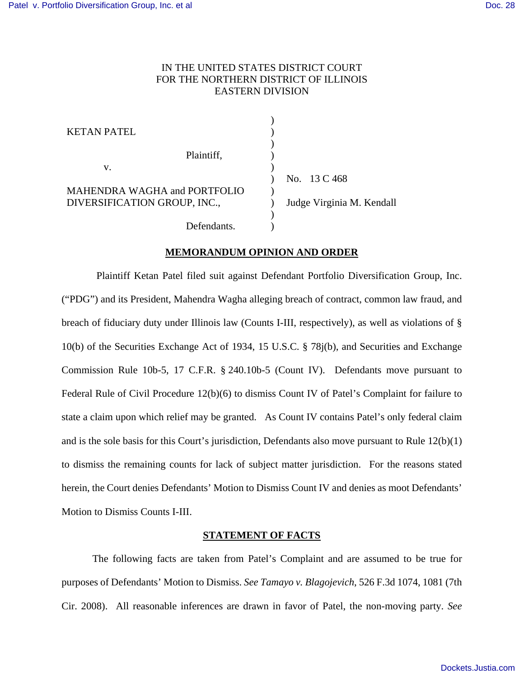## IN THE UNITED STATES DISTRICT COURT FOR THE NORTHERN DISTRICT OF ILLINOIS EASTERN DIVISION

| <b>KETAN PATEL</b>                  |                           |
|-------------------------------------|---------------------------|
| Plaintiff,                          |                           |
| v.                                  |                           |
| <b>MAHENDRA WAGHA and PORTFOLIO</b> | No. 13 C 468              |
| DIVERSIFICATION GROUP, INC.,        | Judge Virginia M. Kendall |
|                                     |                           |
| Defendants.                         |                           |

### **MEMORANDUM OPINION AND ORDER**

 Plaintiff Ketan Patel filed suit against Defendant Portfolio Diversification Group, Inc. ("PDG") and its President, Mahendra Wagha alleging breach of contract, common law fraud, and breach of fiduciary duty under Illinois law (Counts I-III, respectively), as well as violations of § 10(b) of the Securities Exchange Act of 1934, 15 U.S.C. § 78j(b), and Securities and Exchange Commission Rule 10b-5, 17 C.F.R. § 240.10b-5 (Count IV). Defendants move pursuant to Federal Rule of Civil Procedure 12(b)(6) to dismiss Count IV of Patel's Complaint for failure to state a claim upon which relief may be granted. As Count IV contains Patel's only federal claim and is the sole basis for this Court's jurisdiction, Defendants also move pursuant to Rule 12(b)(1) to dismiss the remaining counts for lack of subject matter jurisdiction. For the reasons stated herein, the Court denies Defendants' Motion to Dismiss Count IV and denies as moot Defendants' Motion to Dismiss Counts I-III.

## **STATEMENT OF FACTS**

 The following facts are taken from Patel's Complaint and are assumed to be true for purposes of Defendants' Motion to Dismiss. *See Tamayo v. Blagojevich*, 526 F.3d 1074, 1081 (7th Cir. 2008). All reasonable inferences are drawn in favor of Patel, the non-moving party. *See*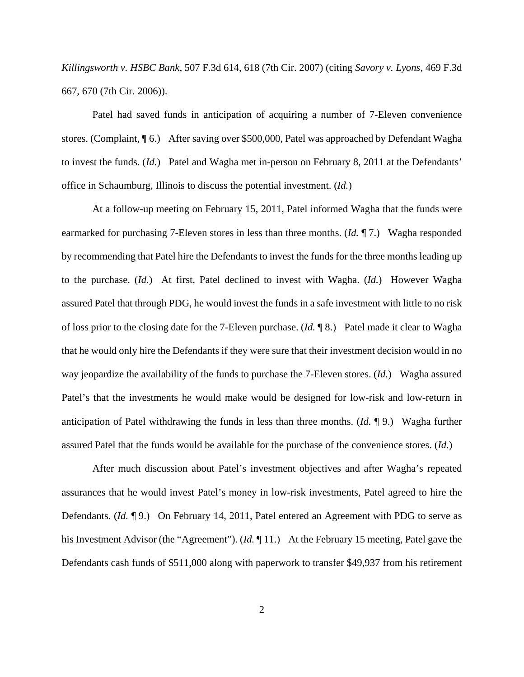*Killingsworth v. HSBC Bank*, 507 F.3d 614, 618 (7th Cir. 2007) (citing *Savory v. Lyons*, 469 F.3d 667, 670 (7th Cir. 2006)).

 Patel had saved funds in anticipation of acquiring a number of 7-Eleven convenience stores. (Complaint, ¶ 6.) After saving over \$500,000, Patel was approached by Defendant Wagha to invest the funds. (*Id.*) Patel and Wagha met in-person on February 8, 2011 at the Defendants' office in Schaumburg, Illinois to discuss the potential investment. (*Id.*)

 At a follow-up meeting on February 15, 2011, Patel informed Wagha that the funds were earmarked for purchasing 7-Eleven stores in less than three months. (*Id.* ¶ 7.) Wagha responded by recommending that Patel hire the Defendants to invest the funds for the three months leading up to the purchase. (*Id.*) At first, Patel declined to invest with Wagha. (*Id.*) However Wagha assured Patel that through PDG, he would invest the funds in a safe investment with little to no risk of loss prior to the closing date for the 7-Eleven purchase. (*Id.* ¶ 8.) Patel made it clear to Wagha that he would only hire the Defendants if they were sure that their investment decision would in no way jeopardize the availability of the funds to purchase the 7-Eleven stores. (*Id.*) Wagha assured Patel's that the investments he would make would be designed for low-risk and low-return in anticipation of Patel withdrawing the funds in less than three months. (*Id.* ¶ 9.) Wagha further assured Patel that the funds would be available for the purchase of the convenience stores. (*Id.*)

 After much discussion about Patel's investment objectives and after Wagha's repeated assurances that he would invest Patel's money in low-risk investments, Patel agreed to hire the Defendants. (*Id.* 19.) On February 14, 2011, Patel entered an Agreement with PDG to serve as his Investment Advisor (the "Agreement"). (*Id.* ¶ 11.) At the February 15 meeting, Patel gave the Defendants cash funds of \$511,000 along with paperwork to transfer \$49,937 from his retirement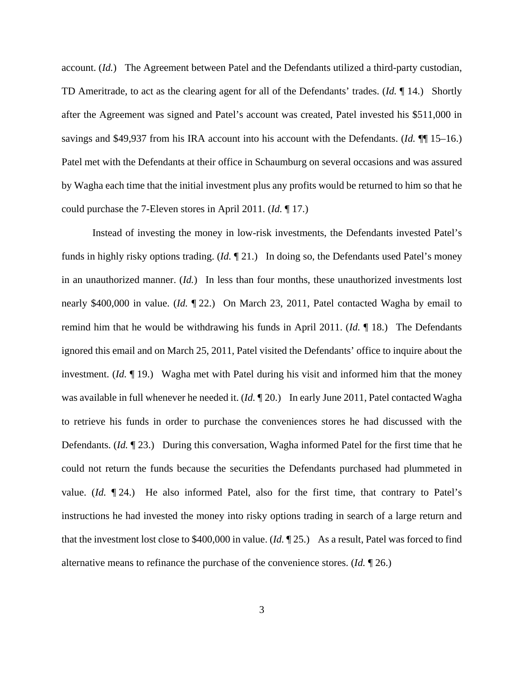account. (*Id.*) The Agreement between Patel and the Defendants utilized a third-party custodian, TD Ameritrade, to act as the clearing agent for all of the Defendants' trades. (*Id.* ¶ 14.) Shortly after the Agreement was signed and Patel's account was created, Patel invested his \$511,000 in savings and \$49,937 from his IRA account into his account with the Defendants. (*Id.* ¶¶ 15–16.) Patel met with the Defendants at their office in Schaumburg on several occasions and was assured by Wagha each time that the initial investment plus any profits would be returned to him so that he could purchase the 7-Eleven stores in April 2011. (*Id.* ¶ 17.)

 Instead of investing the money in low-risk investments, the Defendants invested Patel's funds in highly risky options trading. (*Id.* ¶ 21.) In doing so, the Defendants used Patel's money in an unauthorized manner. (*Id.*) In less than four months, these unauthorized investments lost nearly \$400,000 in value. (*Id.* ¶ 22.) On March 23, 2011, Patel contacted Wagha by email to remind him that he would be withdrawing his funds in April 2011. (*Id.* ¶ 18.) The Defendants ignored this email and on March 25, 2011, Patel visited the Defendants' office to inquire about the investment. (*Id.* ¶ 19.) Wagha met with Patel during his visit and informed him that the money was available in full whenever he needed it. (*Id.* ¶ 20.) In early June 2011, Patel contacted Wagha to retrieve his funds in order to purchase the conveniences stores he had discussed with the Defendants. (*Id.* ¶ 23.) During this conversation, Wagha informed Patel for the first time that he could not return the funds because the securities the Defendants purchased had plummeted in value. (*Id.* ¶ 24.) He also informed Patel, also for the first time, that contrary to Patel's instructions he had invested the money into risky options trading in search of a large return and that the investment lost close to \$400,000 in value. (*Id.* ¶ 25.) As a result, Patel was forced to find alternative means to refinance the purchase of the convenience stores. (*Id.* ¶ 26.)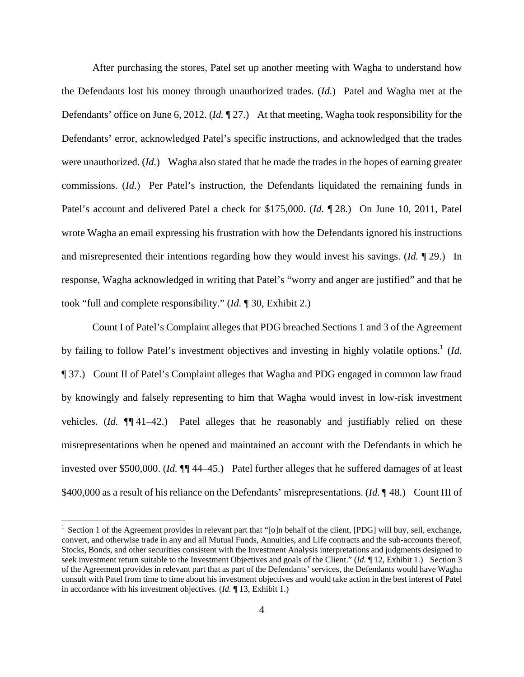After purchasing the stores, Patel set up another meeting with Wagha to understand how the Defendants lost his money through unauthorized trades. (*Id.*) Patel and Wagha met at the Defendants' office on June 6, 2012. (*Id.* ¶ 27.) At that meeting, Wagha took responsibility for the Defendants' error, acknowledged Patel's specific instructions, and acknowledged that the trades were unauthorized. (*Id.*) Wagha also stated that he made the trades in the hopes of earning greater commissions. (*Id*.) Per Patel's instruction, the Defendants liquidated the remaining funds in Patel's account and delivered Patel a check for \$175,000. (*Id.* ¶ 28.) On June 10, 2011, Patel wrote Wagha an email expressing his frustration with how the Defendants ignored his instructions and misrepresented their intentions regarding how they would invest his savings. (*Id.* ¶ 29.) In response, Wagha acknowledged in writing that Patel's "worry and anger are justified" and that he took "full and complete responsibility." (*Id.* ¶ 30, Exhibit 2.)

 Count I of Patel's Complaint alleges that PDG breached Sections 1 and 3 of the Agreement by failing to follow Patel's investment objectives and investing in highly volatile options.<sup>1</sup> (*Id.* ¶ 37.) Count II of Patel's Complaint alleges that Wagha and PDG engaged in common law fraud by knowingly and falsely representing to him that Wagha would invest in low-risk investment vehicles. (*Id.* ¶¶ 41–42.) Patel alleges that he reasonably and justifiably relied on these misrepresentations when he opened and maintained an account with the Defendants in which he invested over \$500,000. (*Id.* ¶¶ 44–45.) Patel further alleges that he suffered damages of at least \$400,000 as a result of his reliance on the Defendants' misrepresentations. (*Id.* ¶ 48.) Count III of

<u>.</u>

<sup>&</sup>lt;sup>1</sup> Section 1 of the Agreement provides in relevant part that "[o]n behalf of the client, [PDG] will buy, sell, exchange, convert, and otherwise trade in any and all Mutual Funds, Annuities, and Life contracts and the sub-accounts thereof, Stocks, Bonds, and other securities consistent with the Investment Analysis interpretations and judgments designed to seek investment return suitable to the Investment Objectives and goals of the Client." (*Id.* 12, Exhibit 1.) Section 3 of the Agreement provides in relevant part that as part of the Defendants' services, the Defendants would have Wagha consult with Patel from time to time about his investment objectives and would take action in the best interest of Patel in accordance with his investment objectives. (*Id.* ¶ 13, Exhibit 1.)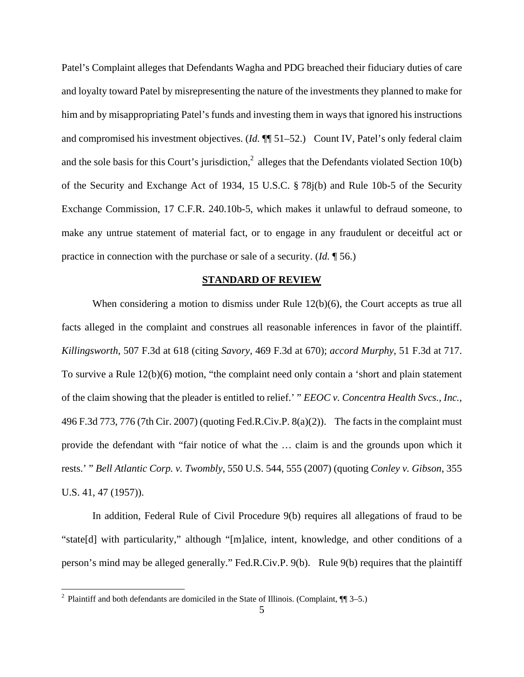Patel's Complaint alleges that Defendants Wagha and PDG breached their fiduciary duties of care and loyalty toward Patel by misrepresenting the nature of the investments they planned to make for him and by misappropriating Patel's funds and investing them in ways that ignored his instructions and compromised his investment objectives. (*Id.*  $\P$  51–52.) Count IV, Patel's only federal claim and the sole basis for this Court's jurisdiction,<sup>2</sup> alleges that the Defendants violated Section 10(b) of the Security and Exchange Act of 1934, 15 U.S.C. § 78j(b) and Rule 10b-5 of the Security Exchange Commission, 17 C.F.R. 240.10b-5, which makes it unlawful to defraud someone, to make any untrue statement of material fact, or to engage in any fraudulent or deceitful act or practice in connection with the purchase or sale of a security. (*Id.* ¶ 56.)

#### **STANDARD OF REVIEW**

When considering a motion to dismiss under Rule 12(b)(6), the Court accepts as true all facts alleged in the complaint and construes all reasonable inferences in favor of the plaintiff. *Killingsworth*, 507 F.3d at 618 (citing *Savory*, 469 F.3d at 670); *accord Murphy*, 51 F.3d at 717. To survive a Rule 12(b)(6) motion, "the complaint need only contain a 'short and plain statement of the claim showing that the pleader is entitled to relief.' " *EEOC v. Concentra Health Svcs., Inc.*, 496 F.3d 773, 776 (7th Cir. 2007) (quoting Fed.R.Civ.P. 8(a)(2)). The facts in the complaint must provide the defendant with "fair notice of what the … claim is and the grounds upon which it rests.' " *Bell Atlantic Corp. v. Twombly*, 550 U.S. 544, 555 (2007) (quoting *Conley v. Gibson*, 355 U.S. 41, 47 (1957)).

 In addition, Federal Rule of Civil Procedure 9(b) requires all allegations of fraud to be "state[d] with particularity," although "[m]alice, intent, knowledge, and other conditions of a person's mind may be alleged generally." Fed.R.Civ.P. 9(b). Rule 9(b) requires that the plaintiff

<sup>&</sup>lt;sup>2</sup> Plaintiff and both defendants are domiciled in the State of Illinois. (Complaint, ¶¶ 3–5.)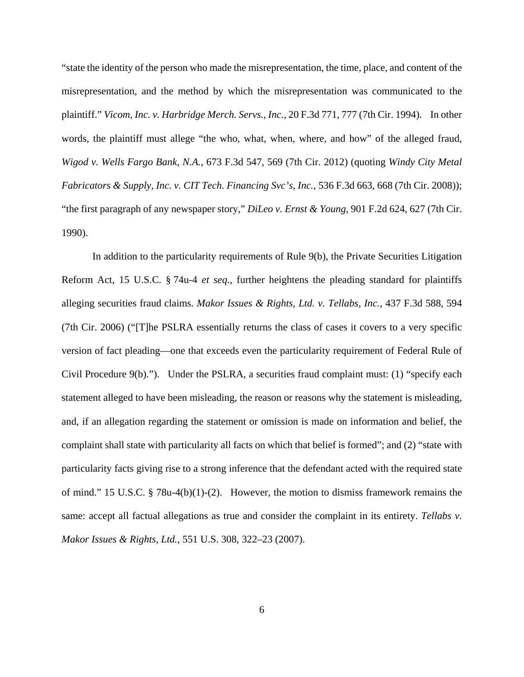"state the identity of the person who made the misrepresentation, the time, place, and content of the misrepresentation, and the method by which the misrepresentation was communicated to the plaintiff." *Vicom, Inc. v. Harbridge Merch. Servs., Inc.*, 20 F.3d 771, 777 (7th Cir. 1994). In other words, the plaintiff must allege "the who, what, when, where, and how" of the alleged fraud, *Wigod v. Wells Fargo Bank, N.A.*, 673 F.3d 547, 569 (7th Cir. 2012) (quoting *Windy City Metal Fabricators & Supply, Inc. v. CIT Tech. Financing Svc's, Inc.*, 536 F.3d 663, 668 (7th Cir. 2008)); "the first paragraph of any newspaper story," *DiLeo v. Ernst & Young*, 901 F.2d 624, 627 (7th Cir. 1990).

 In addition to the particularity requirements of Rule 9(b), the Private Securities Litigation Reform Act, 15 U.S.C. § 74u-4 *et seq*., further heightens the pleading standard for plaintiffs alleging securities fraud claims. *Makor Issues & Rights, Ltd. v. Tellabs, Inc.*, 437 F.3d 588, 594 (7th Cir. 2006) ("[T]he PSLRA essentially returns the class of cases it covers to a very specific version of fact pleading—one that exceeds even the particularity requirement of Federal Rule of Civil Procedure 9(b)."). Under the PSLRA, a securities fraud complaint must: (1) "specify each statement alleged to have been misleading, the reason or reasons why the statement is misleading, and, if an allegation regarding the statement or omission is made on information and belief, the complaint shall state with particularity all facts on which that belief is formed"; and (2) "state with particularity facts giving rise to a strong inference that the defendant acted with the required state of mind." 15 U.S.C. § 78u-4(b)(1)-(2). However, the motion to dismiss framework remains the same: accept all factual allegations as true and consider the complaint in its entirety. *Tellabs v. Makor Issues & Rights, Ltd.*, 551 U.S. 308, 322–23 (2007).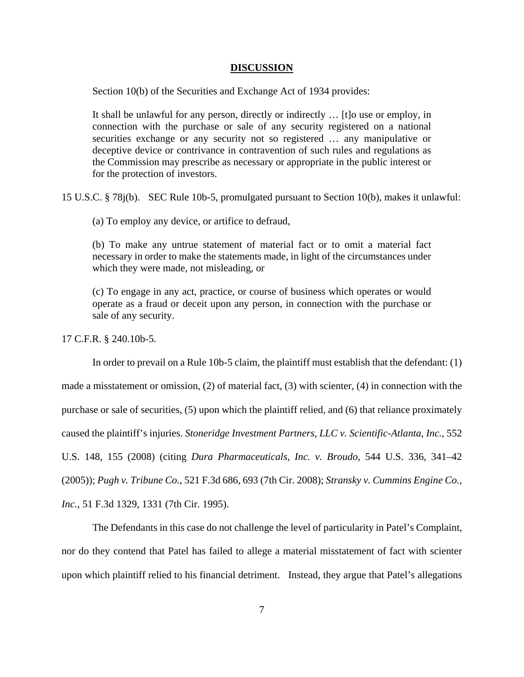#### **DISCUSSION**

Section 10(b) of the Securities and Exchange Act of 1934 provides:

It shall be unlawful for any person, directly or indirectly … [t]o use or employ, in connection with the purchase or sale of any security registered on a national securities exchange or any security not so registered … any manipulative or deceptive device or contrivance in contravention of such rules and regulations as the Commission may prescribe as necessary or appropriate in the public interest or for the protection of investors.

15 U.S.C. § 78j(b). SEC Rule 10b-5, promulgated pursuant to Section 10(b), makes it unlawful:

(a) To employ any device, or artifice to defraud,

(b) To make any untrue statement of material fact or to omit a material fact necessary in order to make the statements made, in light of the circumstances under which they were made, not misleading, or

(c) To engage in any act, practice, or course of business which operates or would operate as a fraud or deceit upon any person, in connection with the purchase or sale of any security.

17 C.F.R. § 240.10b-5.

 In order to prevail on a Rule 10b-5 claim, the plaintiff must establish that the defendant: (1) made a misstatement or omission, (2) of material fact, (3) with scienter, (4) in connection with the purchase or sale of securities, (5) upon which the plaintiff relied, and (6) that reliance proximately caused the plaintiff's injuries. *Stoneridge Investment Partners, LLC v. Scientific-Atlanta, Inc.*, 552 U.S. 148, 155 (2008) (citing *Dura Pharmaceuticals, Inc. v. Broudo*, 544 U.S. 336, 341–42 (2005)); *Pugh v. Tribune Co.*, 521 F.3d 686, 693 (7th Cir. 2008); *Stransky v. Cummins Engine Co., Inc.*, 51 F.3d 1329, 1331 (7th Cir. 1995).

 The Defendants in this case do not challenge the level of particularity in Patel's Complaint, nor do they contend that Patel has failed to allege a material misstatement of fact with scienter upon which plaintiff relied to his financial detriment. Instead, they argue that Patel's allegations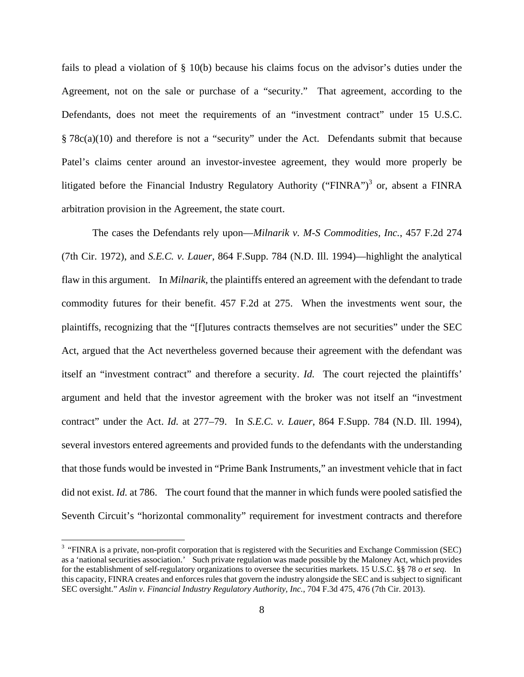fails to plead a violation of § 10(b) because his claims focus on the advisor's duties under the Agreement, not on the sale or purchase of a "security." That agreement, according to the Defendants, does not meet the requirements of an "investment contract" under 15 U.S.C. § 78c(a)(10) and therefore is not a "security" under the Act. Defendants submit that because Patel's claims center around an investor-investee agreement, they would more properly be litigated before the Financial Industry Regulatory Authority ("FINRA")<sup>3</sup> or, absent a FINRA arbitration provision in the Agreement, the state court.

 The cases the Defendants rely upon—*Milnarik v. M-S Commodities, Inc.*, 457 F.2d 274 (7th Cir. 1972), and *S.E.C. v. Lauer*, 864 F.Supp. 784 (N.D. Ill. 1994)—highlight the analytical flaw in this argument. In *Milnarik*, the plaintiffs entered an agreement with the defendant to trade commodity futures for their benefit. 457 F.2d at 275. When the investments went sour, the plaintiffs, recognizing that the "[f]utures contracts themselves are not securities" under the SEC Act, argued that the Act nevertheless governed because their agreement with the defendant was itself an "investment contract" and therefore a security. *Id.* The court rejected the plaintiffs' argument and held that the investor agreement with the broker was not itself an "investment contract" under the Act. *Id.* at 277–79. In *S.E.C. v. Lauer*, 864 F.Supp. 784 (N.D. Ill. 1994), several investors entered agreements and provided funds to the defendants with the understanding that those funds would be invested in "Prime Bank Instruments," an investment vehicle that in fact did not exist. *Id.* at 786. The court found that the manner in which funds were pooled satisfied the Seventh Circuit's "horizontal commonality" requirement for investment contracts and therefore

 $\overline{a}$ 

<sup>&</sup>lt;sup>3</sup> "FINRA is a private, non-profit corporation that is registered with the Securities and Exchange Commission (SEC) as a 'national securities association.' Such private regulation was made possible by the Maloney Act, which provides for the establishment of self-regulatory organizations to oversee the securities markets. 15 U.S.C. §§ 78 *o et seq*. In this capacity, FINRA creates and enforces rules that govern the industry alongside the SEC and is subject to significant SEC oversight." *Aslin v. Financial Industry Regulatory Authority, Inc.*, 704 F.3d 475, 476 (7th Cir. 2013).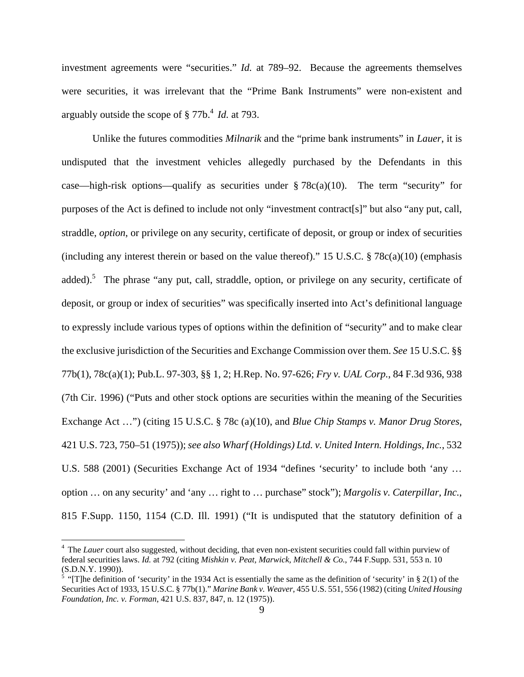investment agreements were "securities." *Id.* at 789–92. Because the agreements themselves were securities, it was irrelevant that the "Prime Bank Instruments" were non-existent and arguably outside the scope of § 77b.<sup>4</sup> *Id.* at 793.

 Unlike the futures commodities *Milnarik* and the "prime bank instruments" in *Lauer*, it is undisputed that the investment vehicles allegedly purchased by the Defendants in this case—high-risk options—qualify as securities under  $\S 78c(a)(10)$ . The term "security" for purposes of the Act is defined to include not only "investment contract[s]" but also "any put, call, straddle, *option*, or privilege on any security, certificate of deposit, or group or index of securities (including any interest therein or based on the value thereof)." 15 U.S.C.  $\S 78c(a)(10)$  (emphasis added).<sup>5</sup> The phrase "any put, call, straddle, option, or privilege on any security, certificate of deposit, or group or index of securities" was specifically inserted into Act's definitional language to expressly include various types of options within the definition of "security" and to make clear the exclusive jurisdiction of the Securities and Exchange Commission over them. *See* 15 U.S.C. §§ 77b(1), 78c(a)(1); Pub.L. 97-303, §§ 1, 2; H.Rep. No. 97-626; *Fry v. UAL Corp.*, 84 F.3d 936, 938 (7th Cir. 1996) ("Puts and other stock options are securities within the meaning of the Securities Exchange Act …") (citing 15 U.S.C. § 78c (a)(10), and *Blue Chip Stamps v. Manor Drug Stores*, 421 U.S. 723, 750–51 (1975)); *see also Wharf (Holdings) Ltd. v. United Intern. Holdings, Inc.*, 532 U.S. 588 (2001) (Securities Exchange Act of 1934 "defines 'security' to include both 'any … option … on any security' and 'any … right to … purchase" stock"); *Margolis v. Caterpillar, Inc.*, 815 F.Supp. 1150, 1154 (C.D. Ill. 1991) ("It is undisputed that the statutory definition of a

<u>.</u>

<sup>&</sup>lt;sup>4</sup> The *Lauer* court also suggested, without deciding, that even non-existent securities could fall within purview of federal securities laws. *Id.* at 792 (citing *Mishkin v. Peat, Marwick, Mitchell & Co.*, 744 F.Supp. 531, 553 n. 10 (S.D.N.Y. 1990)).

<sup>&</sup>lt;sup>5</sup> "[T]he definition of 'security' in the 1934 Act is essentially the same as the definition of 'security' in  $\S 2(1)$  of the Securities Act of 1933, 15 U.S.C. § 77b(1)." *Marine Bank v. Weaver*, 455 U.S. 551, 556 (1982) (citing *United Housing Foundation, Inc. v. Forman*, 421 U.S. 837, 847, n. 12 (1975)).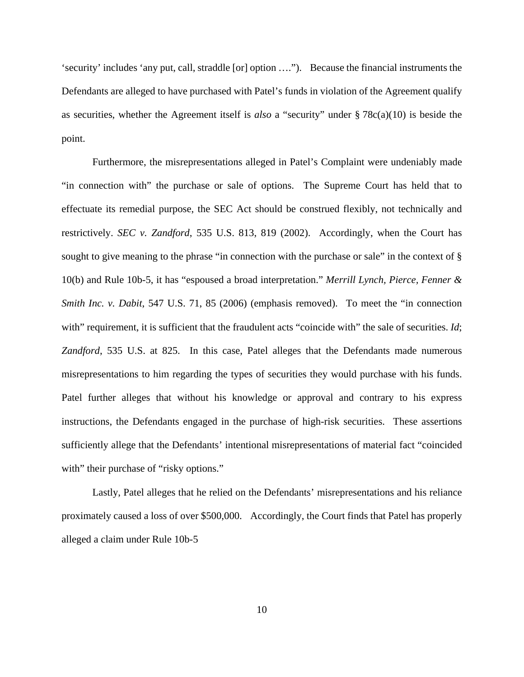'security' includes 'any put, call, straddle [or] option …."). Because the financial instruments the Defendants are alleged to have purchased with Patel's funds in violation of the Agreement qualify as securities, whether the Agreement itself is *also* a "security" under § 78c(a)(10) is beside the point.

 Furthermore, the misrepresentations alleged in Patel's Complaint were undeniably made "in connection with" the purchase or sale of options. The Supreme Court has held that to effectuate its remedial purpose, the SEC Act should be construed flexibly, not technically and restrictively. *SEC v. Zandford*, 535 U.S. 813, 819 (2002). Accordingly, when the Court has sought to give meaning to the phrase "in connection with the purchase or sale" in the context of § 10(b) and Rule 10b-5, it has "espoused a broad interpretation." *Merrill Lynch, Pierce, Fenner & Smith Inc. v. Dabit,* 547 U.S. 71, 85 (2006) (emphasis removed). To meet the "in connection with" requirement, it is sufficient that the fraudulent acts "coincide with" the sale of securities. *Id*; *Zandford*, 535 U.S. at 825. In this case, Patel alleges that the Defendants made numerous misrepresentations to him regarding the types of securities they would purchase with his funds. Patel further alleges that without his knowledge or approval and contrary to his express instructions, the Defendants engaged in the purchase of high-risk securities. These assertions sufficiently allege that the Defendants' intentional misrepresentations of material fact "coincided with" their purchase of "risky options."

 Lastly, Patel alleges that he relied on the Defendants' misrepresentations and his reliance proximately caused a loss of over \$500,000. Accordingly, the Court finds that Patel has properly alleged a claim under Rule 10b-5